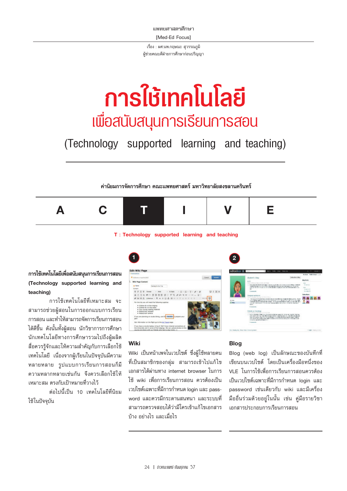แพทยศาสตรศึกษา **IMed-Ed Focus1** 

์ เรื่อง : ผศ.นพ.กฤษณะ สุวรรณภูมิ ผู้ช่วยคณบดีฝ่ายการศึกษาก่อนปริญญา

# ิการใช้เทคโนโลยี <u>เพื่อสนับสนุนการเรียนการสอน</u>

(Technology supported learning and teaching)

้ค่านิยมการจัดการศึกษา คณะแพทยศาสตร์ มหาวิทยาลัยสงขลานครินทร์



### T: Technology supported learning and teaching

การใช้เทคโนโลยีเพื่อสนับสนุนการเรียนการสอน (Technology supported learning and teaching)

การใช้เทคโนโลยีที่เหมาะสม จะ สามารถช่วยผัสอนในการออกแบบการเรียน การสอน และทำให้สามารถจัดการเรียนการสอน ได้ดีขึ้น ดังนั้นทั้งผู้สอน นักวิชาการการศึกษา นักเทคโนโลยีทางการศึกษารวมไปถึงผู้ผลิต สื่อควรรู้จักและให้ความสำคัญกับการเลือกใช้ เทคโนโลยี เนื่องจากผู้เรียนในปัจจุบันมีความ หลายหลาย รูปแบบการเรียนการสอนก็มี ้ความหลากหลายเช่นกัน จึงควรเลือกใช้ให้ ้เหมาะสม ตรงกับเป้าหมายที่วางไว้

ต่อไปนี้เป็น 10 เทคโนโลยีที่นิยม ใช้ในปัจจบัน



### Wiki

Wiki เป็นหน้าเพจในเวปไซต์ ซึ่งผู้ใช้หลายคน ที่เป็นสมาชิกของกลุ่ม สามารถเข้าไปแก้ไข เอกสารได้ผ่านทาง internet browser ในการ ใช้ wiki เพื่อการเรียนการสอน ควรต้องเป็น เวปไซต์เฉพาะที่มีการกำหนด login และ password และควรมีกระดานสนทนา และระบบที่ สามารถตรวจสอบได้ว่ามีใครเข้าแก้ไขเอกสาร บ้าง อย่างไร และเมื่อไร

### **Blog**

 $\overline{2}$ 

Blog (web log) เป็นลักษณะของบันทึกที่ ้เขียนบนเวบไซต์ โดยเป็นเครื่องมือหนึ่งของ VLE ในการใช้เพื่อการเรียนการสอนควรต้อง เป็นเวปไซต์เฉพาะที่มีการกำหนด loain และ password เช่นเดียวกับ wiki และมีเครื่อง มืออื่นร่วมด้วยอยู่ในนั้น เช่น คู่มือรายวิชา เอกสารประกอบการเรียนการสอน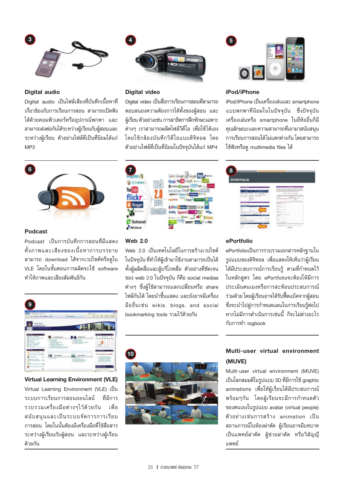

### **Digital audio**

Digital audio เป็นไฟล์เสียงที่บันทึกเนื้อหาที่ ้ เกี่ยวข้องกับการเรียนการสอน สามารถเปิดฟัง ได้ด้วยคอมพิวเตอร์หรืออุปกรณ์พกพา และ สามารถส่งต่อกันได้ระหว่างผู้เรียนกับผู้สอนและ ระหว่างผู้เรียน ตัวอย่างไฟล์ที่เป็นที่นิยมได้แก่  $MP3$ 



### **Podcast**

Podcast เป็นการบันทึกการสอนที่มีแสดง ทั้งภาพและเสียงของเนื้อหาการบรรยาย สามารถ download ได้จากเวปไซต์หรือดูใน VLE โดยในขั้นตอนการผลิตจะใช้ software ทำให้ภาพและเสียงสัมพันธ์กับ



**Virtual Learning Environment (VLE)** Virtual Learning Environment (VLE) เป็น ระบบการเรียนการสอนออนไลน์ ที่มีการ รวบรวมเครื่องมือต่างๆไว้ด้วยกัน เพื่อ สนับสนุนและเป็นระบบจัดการการเรียน ้การสอน โดยในนั้นต้องมีเครื่องมือที่ใช้สื่อสาร ระหว่างผู้เรียนกับผู้สอน และระหว่างผู้เรียน ด้วยกัน



### **Digital video**

Digital video เป็นสื่อการเรียนการสอนที่สามารถ ตอบสนองความต้องการได้ทั้งของผู้สอน และ ผู้เรียน ตัวอย่างเช่น การสาธิตการฝึกทักษะเฉพาะ ต่างๆ เราสามารถผลิตไฟล์วิดีโอ เพื่อใช้ได้เอง โดยใช้กล้องบันทึกวิดีโอแบบดิจิทอล โดย ตัวอย่างไฟล์ที่เป็นที่นิยมในปัจจุบันได้แก่ MP4



### **Web 2.0**

Web 2.0 เป็นเทคโนโลยีในการสร้างเวปไซต์ ในปัจจุบัน ที่ทำให้ผู้เข้ามาใช้งานสามารถเป็นได้ ทั้งผู้ผลิตสื่อและผู้บริโภคสื่อ ตัวอย่างที่ชัดเจน ของ web 2.0 ในปัจจุบัน ก็คือ social medias ต่างๆ ซึ่งผู้ใช้สามารถแลกเปลี่ยนหรือ share ไฟล์กันได้ โดยนำขึ้นแสดง และยังอาจมีเครื่อง มืออื่นเช่น wikis, blogs, and social bookmarking tools รวมไว้ด้วยกัน



### iPod/iPhone

iPod/iPhone เป็นเครื่องเล่นและ smartphone แบบพกพาที่นิยมในในปัจจุบัน ซึ่งปัจจุบัน เครื่องเล่นหรือ smartphone ในยี่ห้ออื่นก็มี คุณลักษณะและความสามารถที่เอามาสนับสนุน การเรียนการสอนได้ไม่แตกต่างกัน โดยสามารถ ใช้ฟังหรือดู multimedia files ได้

| 8                                                                                                                                 |                                                                                                                                                                                                                                       |
|-----------------------------------------------------------------------------------------------------------------------------------|---------------------------------------------------------------------------------------------------------------------------------------------------------------------------------------------------------------------------------------|
| <b>EPORTFOLIO</b>                                                                                                                 |                                                                                                                                                                                                                                       |
|                                                                                                                                   | An archive sprint are arrestorated for protections and a re-<br>as while the dealership as an except to be received as an except                                                                                                      |
| ---<br>while becomes written? The concentration of \$1<br>MAIN  JOINAR<br>÷<br>tion and comment<br>the party dealer as prevent of | at the ability as highly charge and the top the conduct of the lot.<br>---<br>for entertainment and all of the first terms of the com-<br>I WANTED-THERE TECHNICALLY<br>THE MARKET LES AND HOMESTERS & AGRESTER THAT THIS ERICA.<br>_ |
| -<br>and castle<br><b>Richard</b><br>÷                                                                                            | <b>STERNE</b><br>$-100 - 100$<br><b><i><u>PARK BANK BANK</u></i></b><br>×<br><b>SECURITY AND REPORT OF THE CASE</b><br>and the second company of the<br><b><i><u>International Control</u></i></b><br>---                             |
| <b>Hanner International co</b><br>$\overline{ }$<br>----<br>$\sim$<br>$\sim$<br>×                                                 | <b>DELLA CARDINALES</b><br>the state and continued                                                                                                                                                                                    |
| <b>COLLECT</b><br>Miller Park<br><b>Laurance Instrument</b>                                                                       | $-1$                                                                                                                                                                                                                                  |
| $-1$<br><b>Britisher State</b><br>The Carl and July 24 company                                                                    | m.<br>mate on Field                                                                                                                                                                                                                   |

### ePortfolio

ePortfolioเป็นการรวบรวมเอกสารหลักฐานใน รูปแบบของดิจิทอล เพื่อแสดงให้เห็นว่าผู้เรียน ได้มีประสบการณ์การเรียนรู้ ตามที่กำหนดไว้ ในหลักสตร โดย ePortfolioจะต้องให้มีการ ประเมินตนเองหรือการสะท้อนประสบการณ์ ร่วมด้วย โดยผู้เรียนอาจได้รับฟื้ดแบ็คจากผู้สอน ซึ่งจะนำไปสู่การกำหนดแผนในการเรียนรู้ต่อไป หากไม่มีการดำเนินการเช่นนี้ ก็จะไม่ต่างอะไร กับการทำ logbook



## Multi-user virtual environment (MUVE)

Multi-user virtual environment (MUVE) เป็นโลกสมมติในรูปแบบ 3D ที่มีการใช้ graphic animations เพื่อให้ผู้เรียนได้มีประสบการณ์ พร้อมๆกัน โดยผู้เรียนจะมีการกำหนดตัว ของตนเองในรูปแบบ avatar (virtual people) ตัวอย่างเช่นการสร้าง animation เป็น สถานการณ์ในห้องผ่าตัด ผ้เรียนอาจมีบทบาท เป็นแพทย์ผ่าตัด ผู้ช่วยผ่าตัด หรือวิสัญญี แพทย์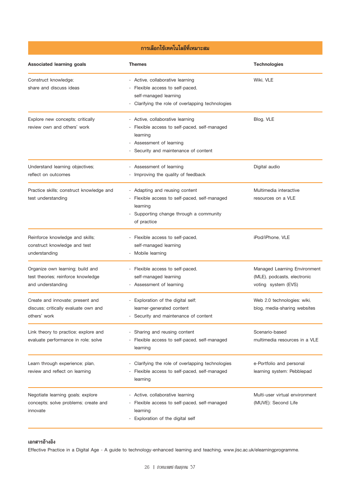# การเลือกใช้เทคโนโลยีที่เหมาะสม

| Associated learning goals                                                                   | <b>Themes</b>                                                                                                                                                     | <b>Technologies</b>                                                                |
|---------------------------------------------------------------------------------------------|-------------------------------------------------------------------------------------------------------------------------------------------------------------------|------------------------------------------------------------------------------------|
| Construct knowledge;<br>share and discuss ideas                                             | - Active, collaborative learning<br>Flexible access to self-paced,<br>self-managed learning<br>- Clarifying the role of overlapping technologies                  | Wiki, VLE                                                                          |
| Explore new concepts; critically<br>review own and others' work                             | - Active, collaborative learning<br>Flexible access to self-paced, self-managed<br>learning<br>Assessment of learning<br>-<br>Security and maintenance of content | Blog, VLE                                                                          |
| Understand learning objectives;<br>reflect on outcomes                                      | - Assessment of learning<br>- Improving the quality of feedback                                                                                                   | Digital audio                                                                      |
| Practice skills; construct knowledge and<br>test understanding                              | - Adapting and reusing content<br>Flexible access to self-paced, self-managed<br>learning<br>Supporting change through a community<br>of practice                 | Multimedia interactive<br>resources on a VLE                                       |
| Reinforce knowledge and skills;<br>construct knowledge and test<br>understanding            | - Flexible access to self-paced,<br>self-managed learning<br>Mobile learning                                                                                      | iPod/iPhone, VLE                                                                   |
| Organize own learning; build and<br>test theories; reinforce knowledge<br>and understanding | - Flexible access to self-paced,<br>self-managed learning<br>- Assessment of learning                                                                             | Managed Learning Environment<br>(MLE), podcasts, electronic<br>voting system (EVS) |
| Create and innovate; present and<br>discuss; critically evaluate own and<br>others' work    | - Exploration of the digital self;<br>learner-generated content<br>- Security and maintenance of content                                                          | Web 2.0 technologies: wiki,<br>blog, media-sharing websites                        |
| Link theory to practice; explore and<br>evaluate performance in role; solve                 | - Sharing and reusing content<br>Flexible access to self-paced, self-managed<br>learning                                                                          | Scenario-based<br>multimedia resources in a VLE                                    |
| Learn through experience; plan,<br>review and reflect on learning                           | Clarifying the role of overlapping technologies<br>Flexible access to self-paced, self-managed<br>learning                                                        | e-Portfolio and personal<br>learning system: Pebblepad                             |
| Negotiate learning goals; explore<br>concepts; solve problems; create and<br>innovate       | - Active, collaborative learning<br>Flexible access to self-paced, self-managed<br>learning<br>Exploration of the digital self                                    | Multi-user virtual environment<br>(MUVE): Second Life                              |

### เอกสารอ้างอิง

Effective Practice in a Digital Age - A guide to technology-enhanced learning and teaching, www.jisc.ac.uk/elearningprogramme.